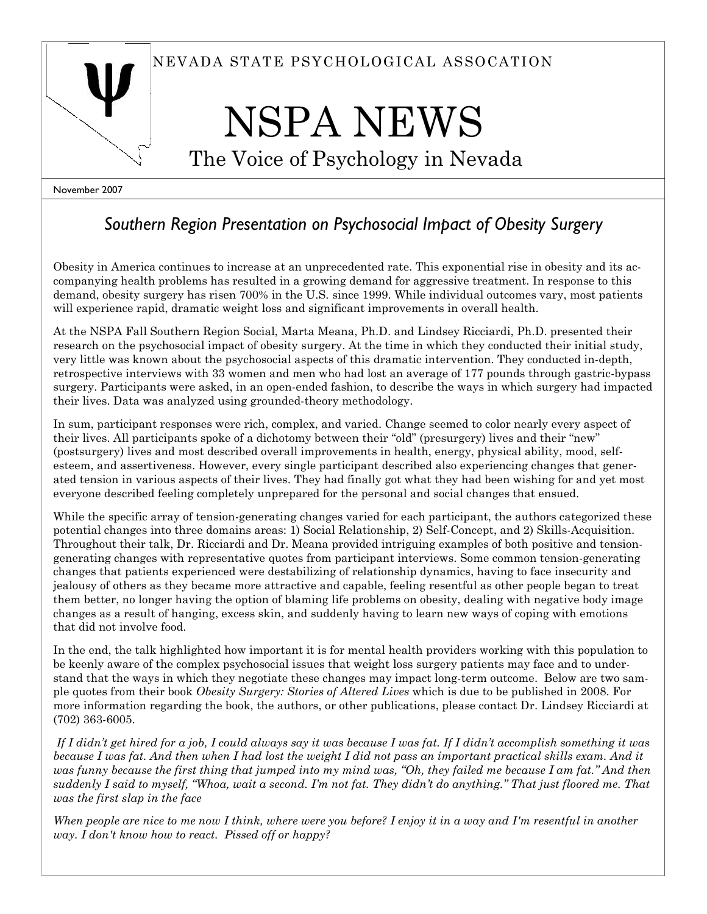

# NSPA NEWS

The Voice of Psychology in Nevada

November 2007

## Southern Region Presentation on Psychosocial Impact of Obesity Surgery

Obesity in America continues to increase at an unprecedented rate. This exponential rise in obesity and its accompanying health problems has resulted in a growing demand for aggressive treatment. In response to this demand, obesity surgery has risen 700% in the U.S. since 1999. While individual outcomes vary, most patients will experience rapid, dramatic weight loss and significant improvements in overall health.

At the NSPA Fall Southern Region Social, Marta Meana, Ph.D. and Lindsey Ricciardi, Ph.D. presented their research on the psychosocial impact of obesity surgery. At the time in which they conducted their initial study, very little was known about the psychosocial aspects of this dramatic intervention. They conducted in-depth, retrospective interviews with 33 women and men who had lost an average of 177 pounds through gastric-bypass surgery. Participants were asked, in an open-ended fashion, to describe the ways in which surgery had impacted their lives. Data was analyzed using grounded-theory methodology.

In sum, participant responses were rich, complex, and varied. Change seemed to color nearly every aspect of their lives. All participants spoke of a dichotomy between their "old" (presurgery) lives and their "new" (postsurgery) lives and most described overall improvements in health, energy, physical ability, mood, selfesteem, and assertiveness. However, every single participant described also experiencing changes that generated tension in various aspects of their lives. They had finally got what they had been wishing for and yet most everyone described feeling completely unprepared for the personal and social changes that ensued.

While the specific array of tension-generating changes varied for each participant, the authors categorized these potential changes into three domains areas: 1) Social Relationship, 2) Self-Concept, and 2) Skills-Acquisition. Throughout their talk, Dr. Ricciardi and Dr. Meana provided intriguing examples of both positive and tensiongenerating changes with representative quotes from participant interviews. Some common tension-generating changes that patients experienced were destabilizing of relationship dynamics, having to face insecurity and jealousy of others as they became more attractive and capable, feeling resentful as other people began to treat them better, no longer having the option of blaming life problems on obesity, dealing with negative body image changes as a result of hanging, excess skin, and suddenly having to learn new ways of coping with emotions that did not involve food.

In the end, the talk highlighted how important it is for mental health providers working with this population to be keenly aware of the complex psychosocial issues that weight loss surgery patients may face and to understand that the ways in which they negotiate these changes may impact long-term outcome. Below are two sample quotes from their book Obesity Surgery: Stories of Altered Lives which is due to be published in 2008. For more information regarding the book, the authors, or other publications, please contact Dr. Lindsey Ricciardi at (702) 363-6005.

If I didn't get hired for a job, I could always say it was because I was fat. If I didn't accomplish something it was because I was fat. And then when I had lost the weight I did not pass an important practical skills exam. And it was funny because the first thing that jumped into my mind was, "Oh, they failed me because I am fat." And then suddenly I said to myself, "Whoa, wait a second. I'm not fat. They didn't do anything." That just floored me. That was the first slap in the face

When people are nice to me now I think, where were you before? I enjoy it in a way and I'm resentful in another way. I don't know how to react. Pissed off or happy?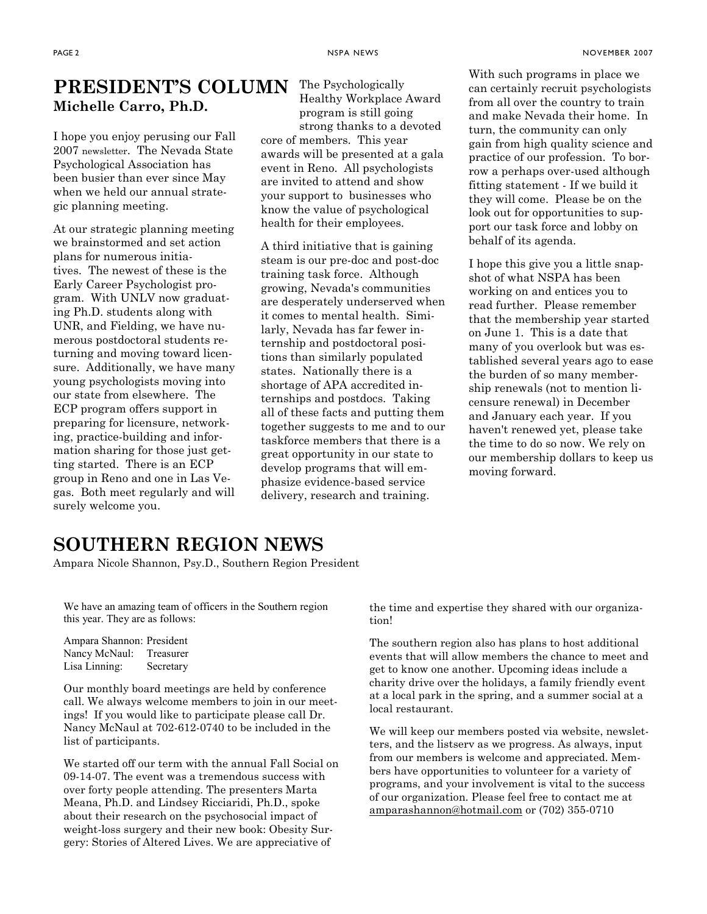## PRESIDENT'S COLUMN The Psychologically Michelle Carro, Ph.D.

I hope you enjoy perusing our Fall 2007 newsletter. The Nevada State Psychological Association has been busier than ever since May when we held our annual strategic planning meeting.

At our strategic planning meeting we brainstormed and set action plans for numerous initiatives. The newest of these is the Early Career Psychologist program. With UNLV now graduating Ph.D. students along with UNR, and Fielding, we have numerous postdoctoral students returning and moving toward licensure. Additionally, we have many young psychologists moving into our state from elsewhere. The ECP program offers support in preparing for licensure, networking, practice-building and information sharing for those just getting started. There is an ECP group in Reno and one in Las Vegas. Both meet regularly and will surely welcome you.

Healthy Workplace Award program is still going strong thanks to a devoted core of members. This year

awards will be presented at a gala event in Reno. All psychologists are invited to attend and show your support to businesses who know the value of psychological health for their employees.

A third initiative that is gaining steam is our pre-doc and post-doc training task force. Although growing, Nevada's communities are desperately underserved when it comes to mental health. Similarly, Nevada has far fewer internship and postdoctoral positions than similarly populated states. Nationally there is a shortage of APA accredited internships and postdocs. Taking all of these facts and putting them together suggests to me and to our taskforce members that there is a great opportunity in our state to develop programs that will emphasize evidence-based service delivery, research and training.

With such programs in place we can certainly recruit psychologists from all over the country to train and make Nevada their home. In turn, the community can only gain from high quality science and practice of our profession. To borrow a perhaps over-used although fitting statement - If we build it they will come. Please be on the look out for opportunities to support our task force and lobby on behalf of its agenda.

I hope this give you a little snapshot of what NSPA has been working on and entices you to read further. Please remember that the membership year started on June 1. This is a date that many of you overlook but was established several years ago to ease the burden of so many membership renewals (not to mention licensure renewal) in December and January each year. If you haven't renewed yet, please take the time to do so now. We rely on our membership dollars to keep us moving forward.

## SOUTHERN REGION NEWS

Ampara Nicole Shannon, Psy.D., Southern Region President

We have an amazing team of officers in the Southern region this year. They are as follows:

Ampara Shannon: President Nancy McNaul: Treasurer Lisa Linning: Secretary

Our monthly board meetings are held by conference call. We always welcome members to join in our meetings! If you would like to participate please call Dr. Nancy McNaul at 702-612-0740 to be included in the list of participants.

We started off our term with the annual Fall Social on 09-14-07. The event was a tremendous success with over forty people attending. The presenters Marta Meana, Ph.D. and Lindsey Ricciaridi, Ph.D., spoke about their research on the psychosocial impact of weight-loss surgery and their new book: Obesity Surgery: Stories of Altered Lives. We are appreciative of

the time and expertise they shared with our organization!

The southern region also has plans to host additional events that will allow members the chance to meet and get to know one another. Upcoming ideas include a charity drive over the holidays, a family friendly event at a local park in the spring, and a summer social at a local restaurant.

We will keep our members posted via website, newsletters, and the listserv as we progress. As always, input from our members is welcome and appreciated. Members have opportunities to volunteer for a variety of programs, and your involvement is vital to the success of our organization. Please feel free to contact me at amparashannon@hotmail.com or (702) 355-0710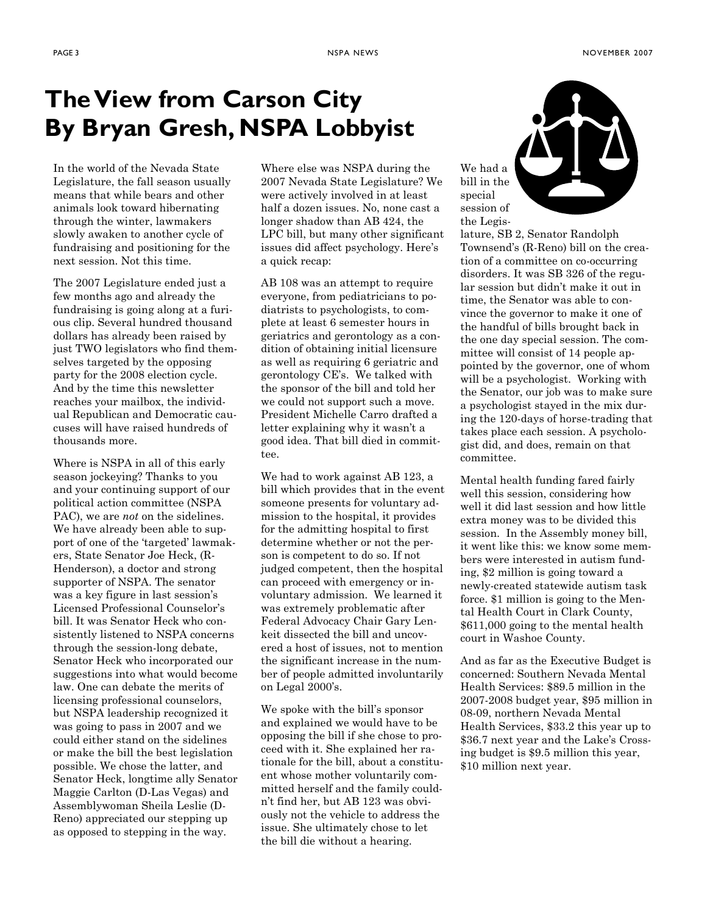# The View from Carson City By Bryan Gresh, NSPA Lobbyist

In the world of the Nevada State Legislature, the fall season usually means that while bears and other animals look toward hibernating through the winter, lawmakers slowly awaken to another cycle of fundraising and positioning for the next session. Not this time.

The 2007 Legislature ended just a few months ago and already the fundraising is going along at a furious clip. Several hundred thousand dollars has already been raised by just TWO legislators who find themselves targeted by the opposing party for the 2008 election cycle. And by the time this newsletter reaches your mailbox, the individual Republican and Democratic caucuses will have raised hundreds of thousands more.

Where is NSPA in all of this early season jockeying? Thanks to you and your continuing support of our political action committee (NSPA PAC), we are *not* on the sidelines. We have already been able to support of one of the 'targeted' lawmakers, State Senator Joe Heck, (R-Henderson), a doctor and strong supporter of NSPA. The senator was a key figure in last session's Licensed Professional Counselor's bill. It was Senator Heck who consistently listened to NSPA concerns through the session-long debate, Senator Heck who incorporated our suggestions into what would become law. One can debate the merits of licensing professional counselors, but NSPA leadership recognized it was going to pass in 2007 and we could either stand on the sidelines or make the bill the best legislation possible. We chose the latter, and Senator Heck, longtime ally Senator Maggie Carlton (D-Las Vegas) and Assemblywoman Sheila Leslie (D-Reno) appreciated our stepping up as opposed to stepping in the way.

Where else was NSPA during the 2007 Nevada State Legislature? We were actively involved in at least half a dozen issues. No, none cast a longer shadow than AB 424, the LPC bill, but many other significant issues did affect psychology. Here's a quick recap:

AB 108 was an attempt to require everyone, from pediatricians to podiatrists to psychologists, to complete at least 6 semester hours in geriatrics and gerontology as a condition of obtaining initial licensure as well as requiring 6 geriatric and gerontology CE's. We talked with the sponsor of the bill and told her we could not support such a move. President Michelle Carro drafted a letter explaining why it wasn't a good idea. That bill died in committee.

We had to work against AB 123, a bill which provides that in the event someone presents for voluntary admission to the hospital, it provides for the admitting hospital to first determine whether or not the person is competent to do so. If not judged competent, then the hospital can proceed with emergency or involuntary admission. We learned it was extremely problematic after Federal Advocacy Chair Gary Lenkeit dissected the bill and uncovered a host of issues, not to mention the significant increase in the number of people admitted involuntarily on Legal 2000's.

We spoke with the bill's sponsor and explained we would have to be opposing the bill if she chose to proceed with it. She explained her rationale for the bill, about a constituent whose mother voluntarily committed herself and the family couldn't find her, but AB 123 was obviously not the vehicle to address the issue. She ultimately chose to let the bill die without a hearing.



lature, SB 2, Senator Randolph Townsend's (R-Reno) bill on the creation of a committee on co-occurring disorders. It was SB 326 of the regular session but didn't make it out in time, the Senator was able to convince the governor to make it one of the handful of bills brought back in the one day special session. The committee will consist of 14 people appointed by the governor, one of whom will be a psychologist. Working with the Senator, our job was to make sure a psychologist stayed in the mix during the 120-days of horse-trading that takes place each session. A psychologist did, and does, remain on that committee.

Mental health funding fared fairly well this session, considering how well it did last session and how little extra money was to be divided this session. In the Assembly money bill, it went like this: we know some members were interested in autism funding, \$2 million is going toward a newly-created statewide autism task force. \$1 million is going to the Mental Health Court in Clark County, \$611,000 going to the mental health court in Washoe County.

And as far as the Executive Budget is concerned: Southern Nevada Mental Health Services: \$89.5 million in the 2007-2008 budget year, \$95 million in 08-09, northern Nevada Mental Health Services, \$33.2 this year up to \$36.7 next year and the Lake's Crossing budget is \$9.5 million this year, \$10 million next year.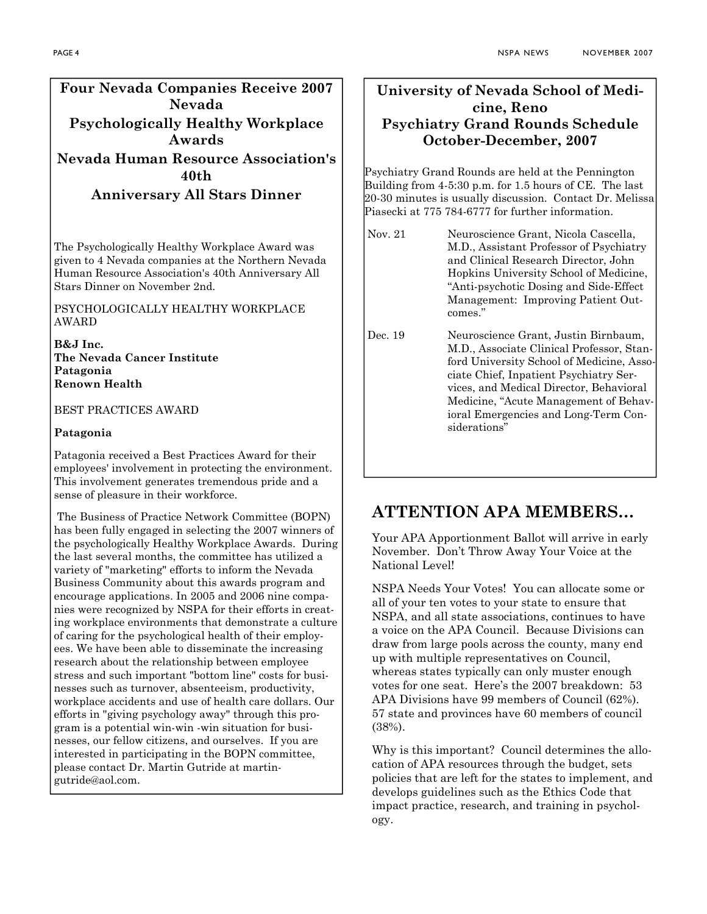#### Four Nevada Companies Receive 2007 Nevada Psychologically Healthy Workplace Awards Nevada Human Resource Association's 40th

Anniversary All Stars Dinner

The Psychologically Healthy Workplace Award was given to 4 Nevada companies at the Northern Nevada Human Resource Association's 40th Anniversary All Stars Dinner on November 2nd.

PSYCHOLOGICALLY HEALTHY WORKPLACE AWARD

B&J Inc. The Nevada Cancer Institute Patagonia Renown Health

BEST PRACTICES AWARD

#### Patagonia

Patagonia received a Best Practices Award for their employees' involvement in protecting the environment. This involvement generates tremendous pride and a sense of pleasure in their workforce.

 The Business of Practice Network Committee (BOPN) has been fully engaged in selecting the 2007 winners of the psychologically Healthy Workplace Awards. During the last several months, the committee has utilized a variety of "marketing" efforts to inform the Nevada Business Community about this awards program and encourage applications. In 2005 and 2006 nine companies were recognized by NSPA for their efforts in creating workplace environments that demonstrate a culture of caring for the psychological health of their employees. We have been able to disseminate the increasing research about the relationship between employee stress and such important "bottom line" costs for businesses such as turnover, absenteeism, productivity, workplace accidents and use of health care dollars. Our efforts in "giving psychology away" through this program is a potential win-win -win situation for businesses, our fellow citizens, and ourselves. If you are interested in participating in the BOPN committee, please contact Dr. Martin Gutride at martingutride@aol.com.

#### University of Nevada School of Medicine, Reno Psychiatry Grand Rounds Schedule October-December, 2007

Psychiatry Grand Rounds are held at the Pennington Building from 4-5:30 p.m. for 1.5 hours of CE. The last 20-30 minutes is usually discussion. Contact Dr. Melissa Piasecki at 775 784-6777 for further information.

- Nov. 21 Neuroscience Grant, Nicola Cascella, M.D., Assistant Professor of Psychiatry and Clinical Research Director, John Hopkins University School of Medicine, "Anti-psychotic Dosing and Side-Effect Management: Improving Patient Outcomes."
- Dec. 19 Neuroscience Grant, Justin Birnbaum, M.D., Associate Clinical Professor, Stanford University School of Medicine, Associate Chief, Inpatient Psychiatry Services, and Medical Director, Behavioral Medicine, "Acute Management of Behavioral Emergencies and Long-Term Considerations"

## ATTENTION APA MEMBERS…

Your APA Apportionment Ballot will arrive in early November. Don't Throw Away Your Voice at the National Level!

NSPA Needs Your Votes! You can allocate some or all of your ten votes to your state to ensure that NSPA, and all state associations, continues to have a voice on the APA Council. Because Divisions can draw from large pools across the county, many end up with multiple representatives on Council, whereas states typically can only muster enough votes for one seat. Here's the 2007 breakdown: 53 APA Divisions have 99 members of Council (62%). 57 state and provinces have 60 members of council (38%).

Why is this important? Council determines the allocation of APA resources through the budget, sets policies that are left for the states to implement, and develops guidelines such as the Ethics Code that impact practice, research, and training in psychology.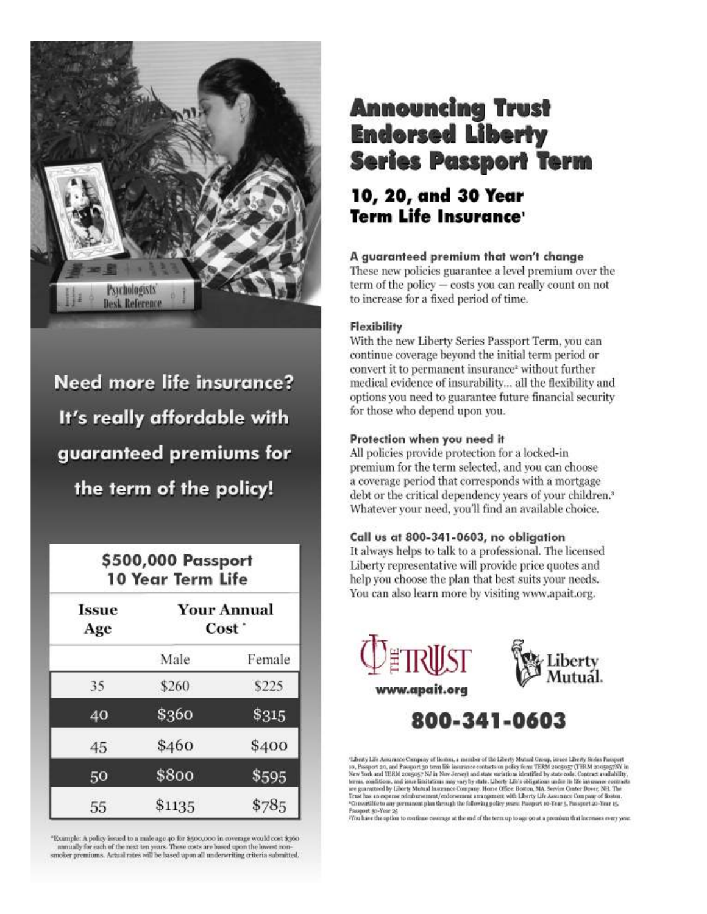

Need more life insurance? It's really affordable with guaranteed premiums for the term of the policy!

## \$500,000 Passport **10 Year Term Life**

| <b>Issue</b><br>Age | <b>Your Annual</b><br>Cost <sup>-</sup> |        |
|---------------------|-----------------------------------------|--------|
|                     | Male                                    | Female |
| 35                  | \$260                                   | \$225  |
| 40                  | \$360                                   | \$315  |
| 45                  | \$460                                   | \$400  |
| 50                  | \$800                                   | \$595  |
| 55                  | \$1135                                  | \$785  |

"Example: A policy issued to a male age 40 for \$500,000 in coverage would cost \$360 annually for each of the next ten years. These costs are based upon the lowest non smoker premiums. Actual rates will be based upon all underwriting criteria submitted.

# **Announcing Trust Endorsed Liberty Series Passport Term**

## 10, 20, and 30 Year Term Life Insurance<sup>,</sup>

#### A guaranteed premium that won't change

These new policies guarantee a level premium over the term of the policy - costs you can really count on not to increase for a fixed period of time.

#### **Flexibility**

With the new Liberty Series Passport Term, you can continue coverage beyond the initial term period or convert it to permanent insurance<sup>2</sup> without further medical evidence of insurability... all the flexibility and options you need to guarantee future financial security for those who depend upon you.

#### Protection when you need it

All policies provide protection for a locked-in premium for the term selected, and you can choose a coverage period that corresponds with a mortgage debt or the critical dependency years of your children.<sup>3</sup> Whatever your need, you'll find an available choice.

#### Call us at 800-341-0603, no obligation

It always helps to talk to a professional. The licensed Liberty representative will provide price quotes and help you choose the plan that best suits your needs. You can also learn more by visiting www.apait.org.





800-341-0603

"Liberty Life Assumnce Company of Boston, a member of the Liberty Mutual Group, issues Liberty Series Passport The Propert are assumed to the following of the matter of the context of policy from TERM 2005037 (TERM 2005037) in New York and TERM 2005037 (TERM 2005037 (TERM 2005037) in New York and TERM 2005037). We have a set that t Passport 50-Year 25

This have the option to continue coverage at the end of the term up to age 50 at a premium that increases every year.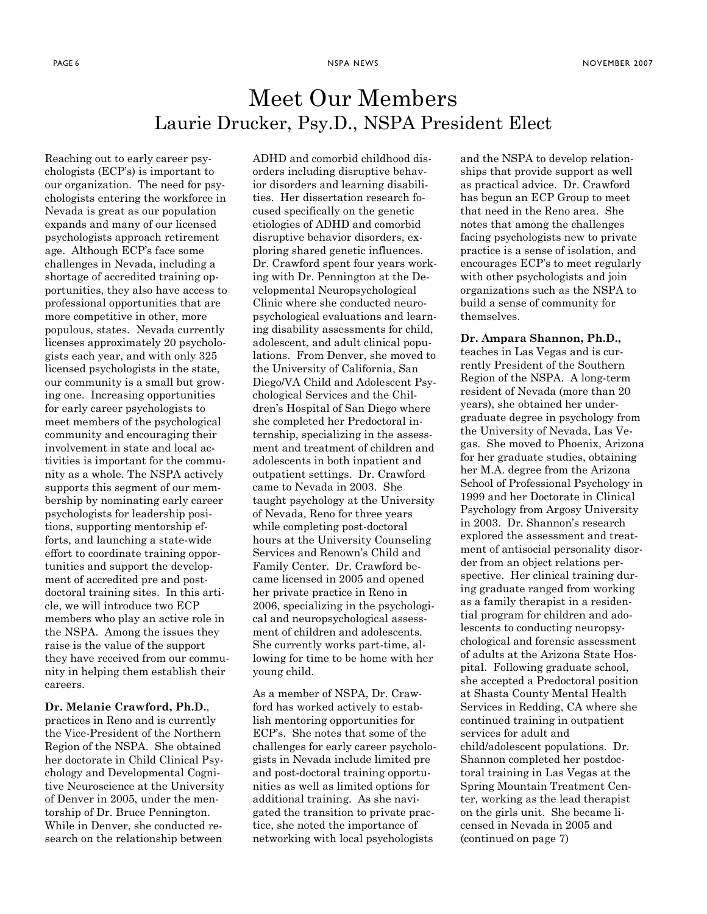## Meet Our Members Laurie Drucker, Psy.D., NSPA President Elect

Reaching out to early career psychologists (ECP's) is important to our organization. The need for psychologists entering the workforce in Nevada is great as our population expands and many of our licensed psychologists approach retirement age. Although ECP's face some challenges in Nevada, including a shortage of accredited training opportunities, they also have access to professional opportunities that are more competitive in other, more populous, states. Nevada currently licenses approximately 20 psychologists each year, and with only 325 licensed psychologists in the state, our community is a small but growing one. Increasing opportunities for early career psychologists to meet members of the psychological community and encouraging their involvement in state and local activities is important for the community as a whole. The NSPA actively supports this segment of our membership by nominating early career psychologists for leadership positions, supporting mentorship efforts, and launching a state-wide effort to coordinate training opportunities and support the development of accredited pre and postdoctoral training sites. In this article, we will introduce two ECP members who play an active role in the NSPA. Among the issues they raise is the value of the support they have received from our community in helping them establish their careers.

#### Dr. Melanie Crawford, Ph.D.,

practices in Reno and is currently the Vice-President of the Northern Region of the NSPA. She obtained her doctorate in Child Clinical Psychology and Developmental Cognitive Neuroscience at the University of Denver in 2005, under the mentorship of Dr. Bruce Pennington. While in Denver, she conducted research on the relationship between

ADHD and comorbid childhood disorders including disruptive behavior disorders and learning disabilities. Her dissertation research focused specifically on the genetic etiologies of ADHD and comorbid disruptive behavior disorders, exploring shared genetic influences. Dr. Crawford spent four years working with Dr. Pennington at the Developmental Neuropsychological Clinic where she conducted neuropsychological evaluations and learning disability assessments for child, adolescent, and adult clinical populations. From Denver, she moved to the University of California, San Diego/VA Child and Adolescent Psychological Services and the Children's Hospital of San Diego where she completed her Predoctoral internship, specializing in the assessment and treatment of children and adolescents in both inpatient and outpatient settings. Dr. Crawford came to Nevada in 2003. She taught psychology at the University of Nevada, Reno for three years while completing post-doctoral hours at the University Counseling Services and Renown's Child and Family Center. Dr. Crawford became licensed in 2005 and opened her private practice in Reno in 2006, specializing in the psychological and neuropsychological assessment of children and adolescents. She currently works part-time, allowing for time to be home with her young child.

As a member of NSPA, Dr. Crawford has worked actively to establish mentoring opportunities for ECP's. She notes that some of the challenges for early career psychologists in Nevada include limited pre and post-doctoral training opportunities as well as limited options for additional training. As she navigated the transition to private practice, she noted the importance of networking with local psychologists

and the NSPA to develop relationships that provide support as well as practical advice. Dr. Crawford has begun an ECP Group to meet that need in the Reno area. She notes that among the challenges facing psychologists new to private practice is a sense of isolation, and encourages ECP's to meet regularly with other psychologists and join organizations such as the NSPA to build a sense of community for themselves.

Dr. Ampara Shannon, Ph.D., teaches in Las Vegas and is currently President of the Southern Region of the NSPA. A long-term resident of Nevada (more than 20 years), she obtained her undergraduate degree in psychology from the University of Nevada, Las Vegas. She moved to Phoenix, Arizona for her graduate studies, obtaining her M.A. degree from the Arizona School of Professional Psychology in 1999 and her Doctorate in Clinical Psychology from Argosy University in 2003. Dr. Shannon's research explored the assessment and treatment of antisocial personality disorder from an object relations perspective. Her clinical training during graduate ranged from working as a family therapist in a residential program for children and adolescents to conducting neuropsychological and forensic assessment of adults at the Arizona State Hospital. Following graduate school, she accepted a Predoctoral position at Shasta County Mental Health Services in Redding, CA where she continued training in outpatient services for adult and child/adolescent populations. Dr. Shannon completed her postdoctoral training in Las Vegas at the Spring Mountain Treatment Center, working as the lead therapist on the girls unit. She became licensed in Nevada in 2005 and (continued on page 7)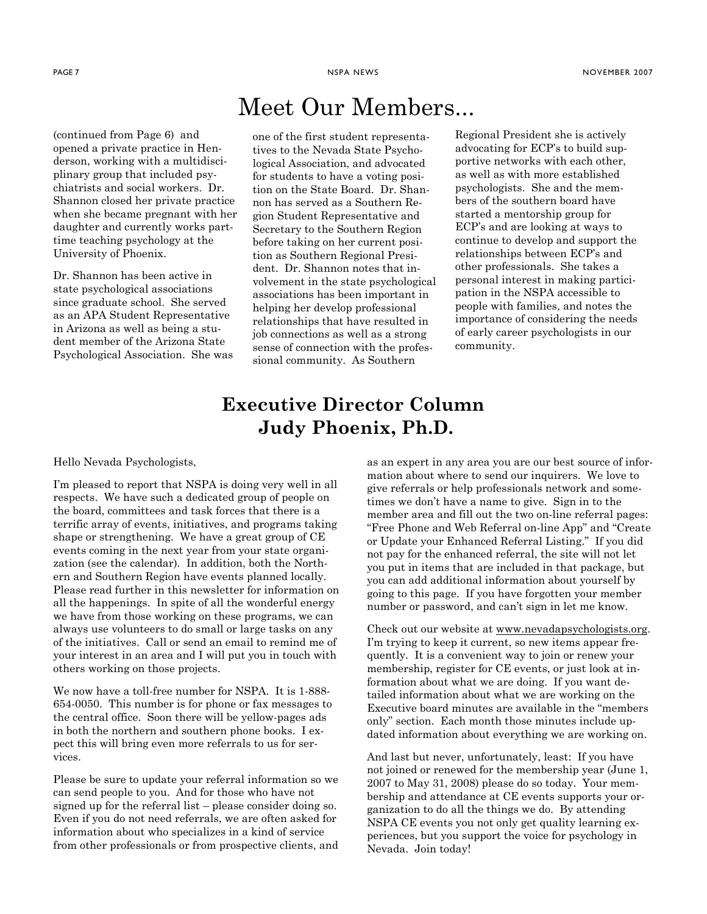# Meet Our Members...

(continued from Page 6) and opened a private practice in Henderson, working with a multidisciplinary group that included psychiatrists and social workers. Dr. Shannon closed her private practice when she became pregnant with her daughter and currently works parttime teaching psychology at the University of Phoenix.

Dr. Shannon has been active in state psychological associations since graduate school. She served as an APA Student Representative in Arizona as well as being a student member of the Arizona State Psychological Association. She was one of the first student representatives to the Nevada State Psychological Association, and advocated for students to have a voting position on the State Board. Dr. Shannon has served as a Southern Region Student Representative and Secretary to the Southern Region before taking on her current position as Southern Regional President. Dr. Shannon notes that involvement in the state psychological associations has been important in helping her develop professional relationships that have resulted in job connections as well as a strong sense of connection with the professional community. As Southern

Regional President she is actively advocating for ECP's to build supportive networks with each other, as well as with more established psychologists. She and the members of the southern board have started a mentorship group for ECP's and are looking at ways to continue to develop and support the relationships between ECP's and other professionals. She takes a personal interest in making participation in the NSPA accessible to people with families, and notes the importance of considering the needs of early career psychologists in our community.

## Executive Director Column Judy Phoenix, Ph.D.

Hello Nevada Psychologists,

I'm pleased to report that NSPA is doing very well in all respects. We have such a dedicated group of people on the board, committees and task forces that there is a terrific array of events, initiatives, and programs taking shape or strengthening. We have a great group of CE events coming in the next year from your state organization (see the calendar). In addition, both the Northern and Southern Region have events planned locally. Please read further in this newsletter for information on all the happenings. In spite of all the wonderful energy we have from those working on these programs, we can always use volunteers to do small or large tasks on any of the initiatives. Call or send an email to remind me of your interest in an area and I will put you in touch with others working on those projects.

We now have a toll-free number for NSPA. It is 1-888- 654-0050. This number is for phone or fax messages to the central office. Soon there will be yellow-pages ads in both the northern and southern phone books. I expect this will bring even more referrals to us for services.

Please be sure to update your referral information so we can send people to you. And for those who have not signed up for the referral list – please consider doing so. Even if you do not need referrals, we are often asked for information about who specializes in a kind of service from other professionals or from prospective clients, and as an expert in any area you are our best source of information about where to send our inquirers. We love to give referrals or help professionals network and sometimes we don't have a name to give. Sign in to the member area and fill out the two on-line referral pages: "Free Phone and Web Referral on-line App" and "Create or Update your Enhanced Referral Listing." If you did not pay for the enhanced referral, the site will not let you put in items that are included in that package, but you can add additional information about yourself by going to this page. If you have forgotten your member number or password, and can't sign in let me know.

Check out our website at www.nevadapsychologists.org. I'm trying to keep it current, so new items appear frequently. It is a convenient way to join or renew your membership, register for CE events, or just look at information about what we are doing. If you want detailed information about what we are working on the Executive board minutes are available in the "members only" section. Each month those minutes include updated information about everything we are working on.

And last but never, unfortunately, least: If you have not joined or renewed for the membership year (June 1, 2007 to May 31, 2008) please do so today. Your membership and attendance at CE events supports your organization to do all the things we do. By attending NSPA CE events you not only get quality learning experiences, but you support the voice for psychology in Nevada. Join today!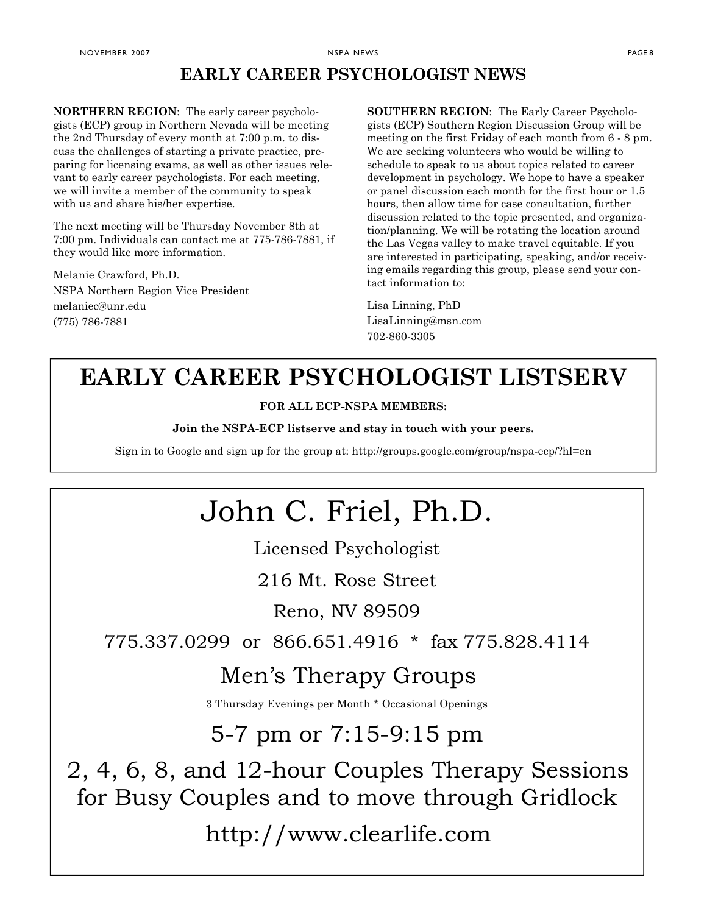## EARLY CAREER PSYCHOLOGIST NEWS

NORTHERN REGION: The early career psychologists (ECP) group in Northern Nevada will be meeting the 2nd Thursday of every month at 7:00 p.m. to discuss the challenges of starting a private practice, preparing for licensing exams, as well as other issues relevant to early career psychologists. For each meeting, we will invite a member of the community to speak with us and share his/her expertise.

The next meeting will be Thursday November 8th at 7:00 pm. Individuals can contact me at 775-786-7881, if they would like more information.

Melanie Crawford, Ph.D. NSPA Northern Region Vice President melaniec@unr.edu (775) 786-7881

SOUTHERN REGION: The Early Career Psychologists (ECP) Southern Region Discussion Group will be meeting on the first Friday of each month from 6 - 8 pm. We are seeking volunteers who would be willing to schedule to speak to us about topics related to career development in psychology. We hope to have a speaker or panel discussion each month for the first hour or 1.5 hours, then allow time for case consultation, further discussion related to the topic presented, and organization/planning. We will be rotating the location around the Las Vegas valley to make travel equitable. If you are interested in participating, speaking, and/or receiving emails regarding this group, please send your contact information to:

#### Lisa Linning, PhD LisaLinning@msn.com

702-860-3305

# EARLY CAREER PSYCHOLOGIST LISTSERV

#### FOR ALL ECP-NSPA MEMBERS:

Join the NSPA-ECP listserve and stay in touch with your peers.

Sign in to Google and sign up for the group at: http://groups.google.com/group/nspa-ecp/?hl=en

# John C. Friel, Ph.D.

Licensed Psychologist

216 Mt. Rose Street

Reno, NV 89509

775.337.0299 or 866.651.4916 \* fax 775.828.4114

# Men's Therapy Groups

3 Thursday Evenings per Month \* Occasional Openings

# 5-7 pm or 7:15-9:15 pm

2, 4, 6, 8, and 12-hour Couples Therapy Sessions for Busy Couples and to move through Gridlock

http://www.clearlife.com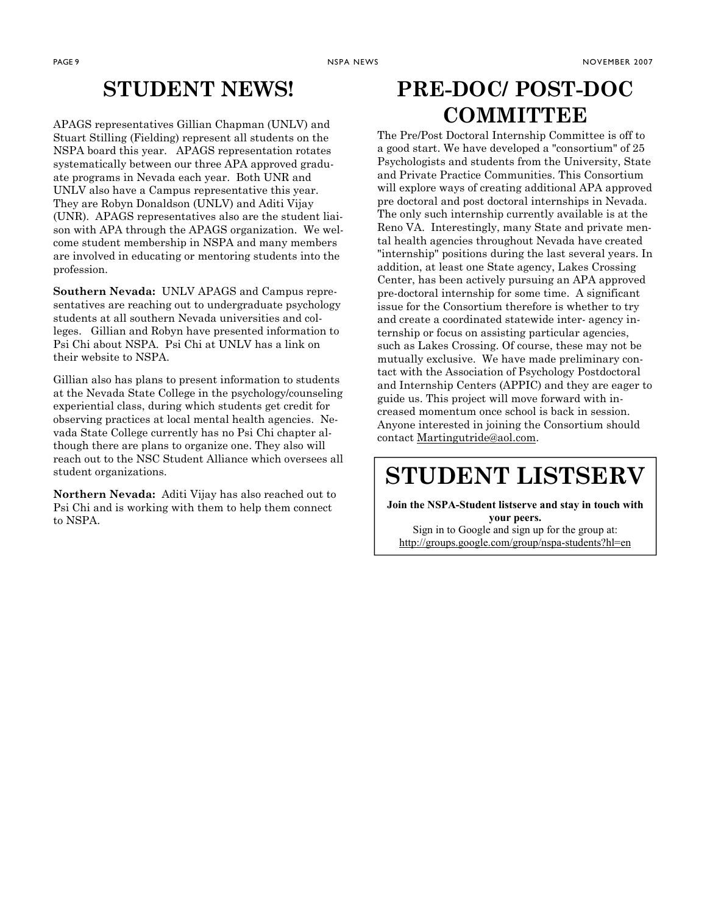## STUDENT NEWS!

APAGS representatives Gillian Chapman (UNLV) and Stuart Stilling (Fielding) represent all students on the NSPA board this year. APAGS representation rotates systematically between our three APA approved graduate programs in Nevada each year. Both UNR and UNLV also have a Campus representative this year. They are Robyn Donaldson (UNLV) and Aditi Vijay (UNR). APAGS representatives also are the student liaison with APA through the APAGS organization. We welcome student membership in NSPA and many members are involved in educating or mentoring students into the profession.

Southern Nevada: UNLV APAGS and Campus representatives are reaching out to undergraduate psychology students at all southern Nevada universities and colleges. Gillian and Robyn have presented information to Psi Chi about NSPA. Psi Chi at UNLV has a link on their website to NSPA.

Gillian also has plans to present information to students at the Nevada State College in the psychology/counseling experiential class, during which students get credit for observing practices at local mental health agencies. Nevada State College currently has no Psi Chi chapter although there are plans to organize one. They also will reach out to the NSC Student Alliance which oversees all student organizations.

Northern Nevada: Aditi Vijay has also reached out to Psi Chi and is working with them to help them connect to NSPA.

## PRE-DOC/ POST-DOC **COMMITTEE**

The Pre/Post Doctoral Internship Committee is off to a good start. We have developed a "consortium" of 25 Psychologists and students from the University, State and Private Practice Communities. This Consortium will explore ways of creating additional APA approved pre doctoral and post doctoral internships in Nevada. The only such internship currently available is at the Reno VA. Interestingly, many State and private mental health agencies throughout Nevada have created "internship" positions during the last several years. In addition, at least one State agency, Lakes Crossing Center, has been actively pursuing an APA approved pre-doctoral internship for some time. A significant issue for the Consortium therefore is whether to try and create a coordinated statewide inter- agency internship or focus on assisting particular agencies, such as Lakes Crossing. Of course, these may not be mutually exclusive. We have made preliminary contact with the Association of Psychology Postdoctoral and Internship Centers (APPIC) and they are eager to guide us. This project will move forward with increased momentum once school is back in session. Anyone interested in joining the Consortium should contact Martingutride@aol.com.

## STUDENT LISTSERV

Join the NSPA-Student listserve and stay in touch with your peers. Sign in to Google and sign up for the group at: http://groups.google.com/group/nspa-students?hl=en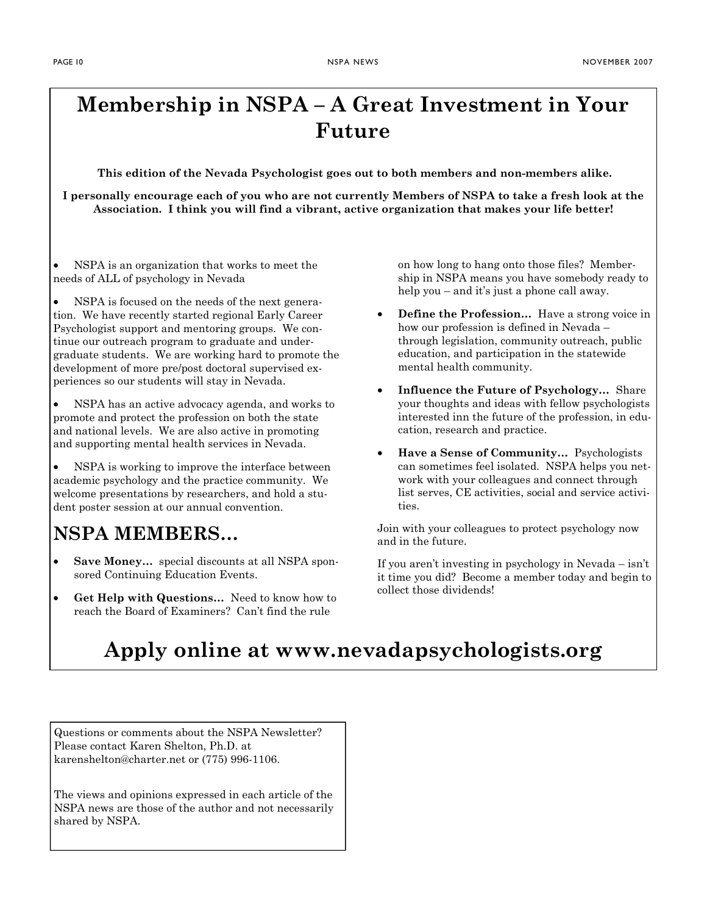# Membership in NSPA – A Great Investment in Your Future

#### This edition of the Nevada Psychologist goes out to both members and non-members alike.

I personally encourage each of you who are not currently Members of NSPA to take a fresh look at the Association. I think you will find a vibrant, active organization that makes your life better!

• NSPA is an organization that works to meet the needs of ALL of psychology in Nevada

NSPA is focused on the needs of the next generation. We have recently started regional Early Career Psychologist support and mentoring groups. We continue our outreach program to graduate and undergraduate students. We are working hard to promote the development of more pre/post doctoral supervised experiences so our students will stay in Nevada.

• NSPA has an active advocacy agenda, and works to promote and protect the profession on both the state and national levels. We are also active in promoting and supporting mental health services in Nevada.

• NSPA is working to improve the interface between academic psychology and the practice community. We welcome presentations by researchers, and hold a student poster session at our annual convention.

## NSPA MEMBERS…

- Save Money… special discounts at all NSPA sponsored Continuing Education Events.
- Get Help with Questions... Need to know how to reach the Board of Examiners? Can't find the rule

on how long to hang onto those files? Membership in NSPA means you have somebody ready to help you – and it's just a phone call away.

- **Define the Profession...** Have a strong voice in how our profession is defined in Nevada – through legislation, community outreach, public education, and participation in the statewide mental health community.
- Influence the Future of Psychology… Share your thoughts and ideas with fellow psychologists interested inn the future of the profession, in education, research and practice.
- Have a Sense of Community… Psychologists can sometimes feel isolated. NSPA helps you network with your colleagues and connect through list serves, CE activities, social and service activities.

Join with your colleagues to protect psychology now and in the future.

If you aren't investing in psychology in Nevada – isn't it time you did? Become a member today and begin to collect those dividends!

# Apply online at www.nevadapsychologists.org

Questions or comments about the NSPA Newsletter? Please contact Karen Shelton, Ph.D. at karenshelton@charter.net or (775) 996-1106.

The views and opinions expressed in each article of the NSPA news are those of the author and not necessarily shared by NSPA.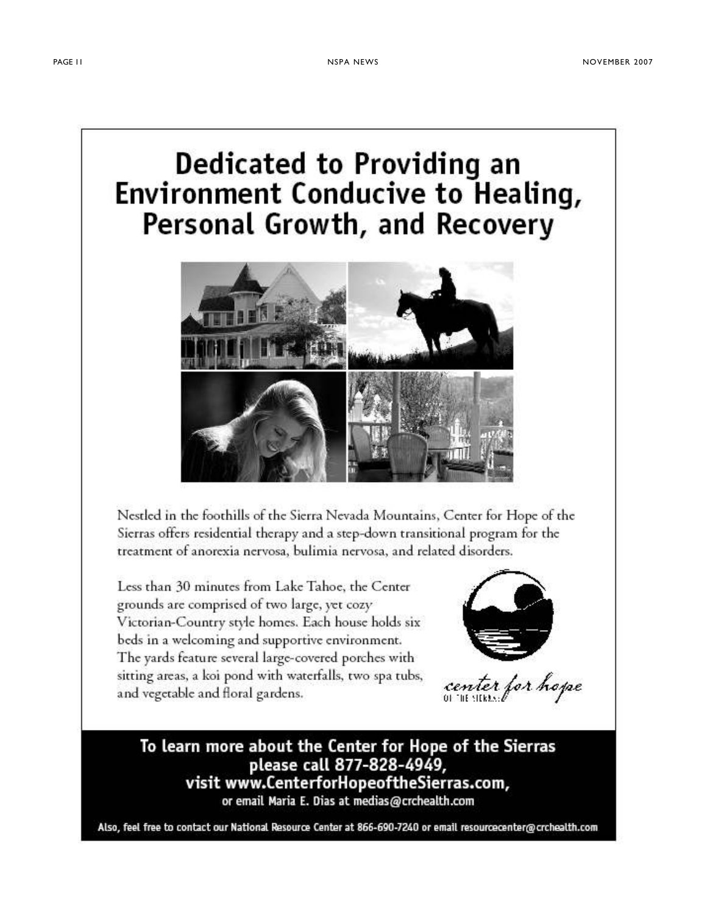# Dedicated to Providing an **Environment Conducive to Healing,** Personal Growth, and Recovery



Nestled in the foothills of the Sierra Nevada Mountains, Center for Hope of the Sierras offers residential therapy and a step-down transitional program for the treatment of anorexia nervosa, bulimia nervosa, and related disorders.

Less than 30 minutes from Lake Tahoe, the Center grounds are comprised of two large, yet cozy Victorian-Country style homes. Each house holds six beds in a welcoming and supportive environment. The yards feature several large-covered porches with sitting areas, a koi pond with waterfalls, two spa tubs, and vegetable and floral gardens.



center for hope

To learn more about the Center for Hope of the Sierras please call 877-828-4949, visit www.CenterforHopeoftheSierras.com, or email Maria E. Dias at medias@crchealth.com

Also, feel free to contact our National Resource Center at 866-690-7240 or email resourcecenter@crchealth.com